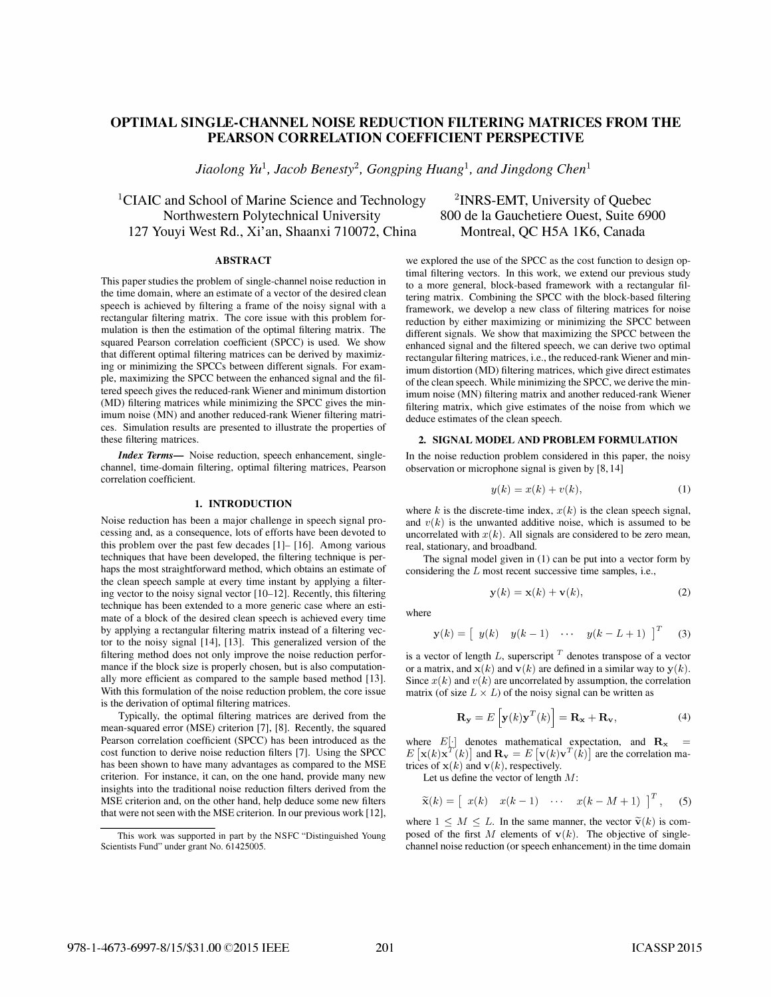# OPTIMAL SINGLE-CHANNEL NOISE REDUCTION FILTERING MATRICES FROM THE PEARSON CORRELATION COEFFICIENT PERSPECTIVE

Jiaolong Yu<sup>1</sup>, Jacob Benesty<sup>2</sup>, Gongping Huang<sup>1</sup>, and Jingdong Chen<sup>1</sup>

<sup>1</sup>CIAIC and School of Marine Science and Technology Northwestern Polytechnical University 127 Youyi West Rd., Xi'an, Shaanxi 710072, China Montreal, QC H5A 1K6, Canada

### ABSTRACT

This paper studies the problem of single-channel noise reduction in the time domain, where an estimate of a vector of the desired clean speech is achieved by filtering a frame of the noisy signal with a rectangular filtering matrix. The core issue with this problem formulation is then the estimation of the optimal filtering matrix. The squared Pearson correlation coefficient (SPCC) is used. We show that different optimal filtering matrices can be derived by maximizing or minimizing the SPCCs between different signals. For example, maximizing the SPCC between the enhanced signal and the filtered speech gives the reduced-rank Wiener and minimum distortion (MD) filtering matrices while minimizing the SPCC gives the minimum noise (MN) and another reduced-rank Wiener filtering matrices. Simulation results are presented to illustrate the properties of these filtering matrices.

Index Terms- Noise reduction, speech enhancement, singlechannel, time-domain filtering, optimal filtering matrices, Pearson correlation coefficient.

## 1. INTRODUCTION

Noise reduction has been a major challenge in speech signal processing and, as a consequence, lots of efforts have been devoted to this problem over the past few decades [1]- [16]. Among various techniques that have been developed, the filtering technique is perhaps the most straightforward method, which obtains an estimate of the clean speech sample at every time instant by applying a filtering vector to the noisy signal vector [10-12]. Recently, this filtering technique has been extended to a more generic case where an estimate of a block of the desired clean speech is achieved every time by applying a rectangular filtering matrix instead of a filtering vector to the noisy signal [14], [13]. This generalized version of the filtering method does not only improve the noise reduction performance if the block size is properly chosen, but is also computationally more efficient as compared to the sample based method [13]. With this formulation of the noise reduction problem, the core issue is the derivation of optimal filtering matrices.

Typically, the optimal filtering matrices are derived from the mean-squared error (MSE) criterion [7], [8]. Recently, the squared Pearson correlation coefficient (SPCC) has been introduced as the cost function to derive noise reduction filters [7]. Using the SPCC has been shown to have many advantages as compared to the MSE criterion. For instance, it can, on the one hand, provide many new insights into the traditional noise reduction filters derived from the MSE criterion and, on the other hand, help deduce some new filters that were not seen with the MSE criterion. In our previous work [12],

2INRS-EMT, University of Quebec 800 de la Gauchetiere Ouest, Suite 6900

we explored the use of the SPCC as the cost function to design optimal filtering vectors. In this work, we extend our previous study to a more general, block-based framework with a rectangular filtering matrix. Combining the SPCC with the block-based filtering framework, we develop a new class of filtering matrices for noise reduction by either maximizing or minimizing the SPCC between different signals. We show that maximizing the SPCC between the enhanced signal and the filtered speech, we can derive two optimal rectangular filtering matrices, i.e., the reduced-rank Wiener and minimum distortion (MD) filtering matrices, which give direct estimates of the clean speech. While minimizing the SPCC, we derive the minimum noise (MN) filtering matrix and another reduced-rank Wiener filtering matrix, which give estimates of the noise from which we deduce estimates of the clean speech.

#### 2. SIGNAL MODEL AND PROBLEM FORMULATION

In the noise reduction problem considered in this paper, the noisy observation or microphone signal is given by [8,14]

$$
y(k) = x(k) + v(k),\tag{1}
$$

where k is the discrete-time index,  $x(k)$  is the clean speech signal, and  $v(k)$  is the unwanted additive noise, which is assumed to be uncorrelated with  $x(k)$ . All signals are considered to be zero mean, real, stationary, and broadband.

The signal model given in (1) can be put into a vector form by considering the  $L$  most recent successive time samples, i.e.,

$$
\mathbf{y}(k) = \mathbf{x}(k) + \mathbf{v}(k),\tag{2}
$$

where

$$
\mathbf{y}(k) = \begin{bmatrix} y(k) & y(k-1) & \cdots & y(k-L+1) \end{bmatrix}^T \quad (3)
$$

is a vector of length  $L$ , superscript  $T$  denotes transpose of a vector or a matrix, and  $x(k)$  and  $v(k)$  are defined in a similar way to  $y(k)$ . Since  $x(k)$  and  $v(k)$  are uncorrelated by assumption, the correlation matrix (of size  $L \times L$ ) of the noisy signal can be written as

$$
\mathbf{R}_{\mathbf{y}} = E\left[\mathbf{y}(k)\mathbf{y}^T(k)\right] = \mathbf{R}_{\mathbf{x}} + \mathbf{R}_{\mathbf{v}},\tag{4}
$$

where  $E[\cdot]$  denotes mathematical expectation, and  $\mathbf{R}_{\mathbf{x}}$  =  $E[\mathbf{x}(k)\mathbf{x}^T(k)]$  and  $\mathbf{R}_{\mathbf{v}} = E[\mathbf{v}(k)\mathbf{v}^T(k)]$  are the correlation matrices of  $x(k)$  and  $v(k)$ , respectively.

Let us define the vector of length M:

$$
\widetilde{\mathbf{x}}(k) = \begin{bmatrix} x(k) & x(k-1) & \cdots & x(k-M+1) \end{bmatrix}^T, \quad (5)
$$

where  $1 \leq M \leq L$ . In the same manner, the vector  $\tilde{\mathbf{v}}(k)$  is composed of the first M elements of  $v(k)$ . The objective of singlechannel noise reduction (or speech enhancement) in the time domain

This work was supported in part by the NSFC "Distinguished Young Scientists Fund" under grant No. 61425005.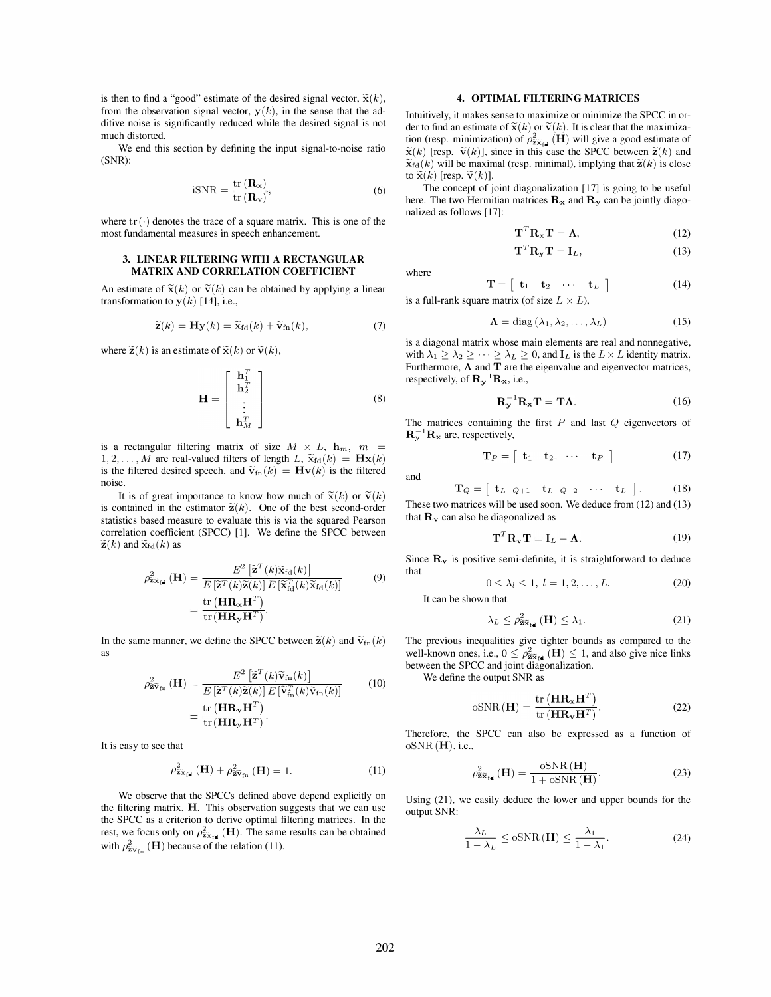is then to find a "good" estimate of the desired signal vector,  $\tilde{\mathbf{x}}(k)$ , from the observation signal vector,  $y(k)$ , in the sense that the additive noise is significantly reduced while the desired signal is not much distorted.

We end this section by defining the input signal-to-noise ratio (SNR):

$$
iSNR = \frac{\text{tr}(\mathbf{R}_{\mathbf{x}})}{\text{tr}(\mathbf{R}_{\mathbf{v}})},
$$
(6)

where  $\text{tr}(\cdot)$  denotes the trace of a square matrix. This is one of the most fundamental measures in speech enhancement.

#### 3. LINEAR FILTERING WITH A RECTANGULAR MATRIX AND CORRELATION COEFFICIENT

An estimate of  $\tilde{\mathbf{x}}(k)$  or  $\tilde{\mathbf{v}}(k)$  can be obtained by applying a linear transformation to  $y(k)$  [14], i.e.,

$$
\widetilde{\mathbf{z}}(k) = \mathbf{H}\mathbf{y}(k) = \widetilde{\mathbf{x}}_{\text{fd}}(k) + \widetilde{\mathbf{v}}_{\text{fn}}(k),\tag{7}
$$

where  $\widetilde{\mathbf{z}}(k)$  is an estimate of  $\widetilde{\mathbf{x}}(k)$  or  $\widetilde{\mathbf{v}}(k)$ ,

$$
\mathbf{H} = \begin{bmatrix} \mathbf{h}_1^T \\ \mathbf{h}_2^T \\ \vdots \\ \mathbf{h}_M^T \end{bmatrix}
$$
 (8)

is a rectangular filtering matrix of size  $M \times L$ ,  $\mathbf{h}_m$ ,  $m =$  $1, 2, \ldots, M$  are real-valued filters of length L,  $\widetilde{\mathbf{x}}_{\text{fd}}(k) = \mathbf{H}\mathbf{x}(k)$ is the filtered desired speech, and  $\tilde{\mathbf{v}}_{fn}(k) = \mathbf{H}\mathbf{v}(k)$  is the filtered noise.

It is of great importance to know how much of  $\tilde{\mathbf{x}}(k)$  or  $\tilde{\mathbf{v}}(k)$ is contained in the estimator  $\tilde{\mathbf{z}}(k)$ . One of the best second-order statistics based measure to evaluate this is via the squared Pearson correlation coefficient (SPCC) [1]. We define the SPCC between  $\widetilde{\mathbf{z}}(k)$  and  $\widetilde{\mathbf{x}}_{\text{fd}}(k)$  as

$$
\rho_{\tilde{\mathbf{z}}\tilde{\mathbf{x}}_{\text{fd}}}^{2}(\mathbf{H}) = \frac{E^{2} \left[ \tilde{\mathbf{z}}^{T}(k) \tilde{\mathbf{x}}_{\text{fd}}(k) \right]}{E \left[ \tilde{\mathbf{z}}^{T}(k) \tilde{\mathbf{z}}(k) \right] E \left[ \tilde{\mathbf{x}}_{\text{fd}}^{T}(k) \tilde{\mathbf{x}}_{\text{fd}}(k) \right]}
$$
\n
$$
= \frac{\text{tr} \left( \mathbf{H} \mathbf{R}_{\mathbf{x}} \mathbf{H}^{T} \right)}{\text{tr} \left( \mathbf{H} \mathbf{R}_{\mathbf{y}} \mathbf{H}^{T} \right)}.
$$
\n(9)

In the same manner, we define the SPCC between  $\widetilde{\mathbf{z}}(k)$  and  $\widetilde{\mathbf{v}}_{fn}(k)$ as

$$
\rho_{\overline{\mathbf{z}}\overline{\mathbf{v}}_{\text{fn}}}^2(\mathbf{H}) = \frac{E^2 \left[ \overline{\mathbf{z}}^T(k) \widetilde{\mathbf{v}}_{\text{fn}}(k) \right]}{E \left[ \widetilde{\mathbf{z}}^T(k) \widetilde{\mathbf{z}}(k) \right] E \left[ \widetilde{\mathbf{v}}_{\text{fn}}^T(k) \widetilde{\mathbf{v}}_{\text{fn}}(k) \right]}
$$
\n
$$
= \frac{\text{tr} \left( \mathbf{H} \mathbf{R}_{\mathbf{v}} \mathbf{H}^T \right)}{\text{tr} \left( \mathbf{H} \mathbf{R}_{\mathbf{v}} \mathbf{H}^T \right)}.
$$
\n(10)

It is easy to see that

$$
\rho_{\widetilde{\mathbf{z}}\widetilde{\mathbf{x}}_{\text{fd}}}^{2}\left(\mathbf{H}\right) + \rho_{\widetilde{\mathbf{z}}\widetilde{\mathbf{v}}_{\text{fn}}}^{2}\left(\mathbf{H}\right) = 1.
$$
 (11)

We observe that the SPCCs defined above depend explicitly on the filtering matrix, H. This observation suggests that we can use the SPCC as a criterion to derive optimal filtering matrices. In the rest, we focus only on  $\rho^2_{\tilde{\mathbf{z}}\tilde{\mathbf{x}}_{\text{fd}}}(\mathbf{H})$ . The same results can be obtained with  $\rho_{\widetilde{\mathbf{z}} \widetilde{\mathbf{v}}_{\text{fn}}}^2$  (**H**) because of the relation (11).

#### 4. OPTIMAL FILTERING MATRICES

Intuitively, it makes sense to maximize or minimize the SPCC in order to find an estimate of  $\tilde{\mathbf{x}}(k)$  or  $\tilde{\mathbf{v}}(k)$ . It is clear that the maximization (resp. minimization) of  $\rho_{\tilde{\mathbf{z}}\tilde{\mathbf{x}}_{\text{fd}}}^2(\mathbf{H})$  will give a good estimate of  $\widetilde{\mathbf{x}}(k)$  [resp.  $\widetilde{\mathbf{v}}(k)$ ], since in this case the SPCC between  $\widetilde{\mathbf{z}}(k)$  and  $\widetilde{\mathbf{x}}_{\text{fd}}(k)$  will be maximal (resp. minimal), implying that  $\widetilde{\mathbf{z}}(k)$  is close to  $\widetilde{\mathbf{x}}(k)$  [resp.  $\widetilde{\mathbf{v}}(k)$ ].

The concept of joint diagonalization [17] is going to be useful here. The two Hermitian matrices  $\mathbf{R}_{\mathbf{x}}$  and  $\mathbf{R}_{\mathbf{y}}$  can be jointly diagonalized as follows [17]:

 $\mathbf{T}^T \mathbf{R}_\mathbf{v} \mathbf{T} = \mathbf{I}_L,$ 

$$
\mathbf{T}^T \mathbf{R}_{\mathbf{x}} \mathbf{T} = \mathbf{\Lambda},\tag{12}
$$

(13)

$$
f_{\rm{max}}
$$

where

$$
\mathbf{T} = \begin{bmatrix} \mathbf{t}_1 & \mathbf{t}_2 & \cdots & \mathbf{t}_L \end{bmatrix} \tag{14}
$$

is a full-rank square matrix (of size  $L \times L$ ),

$$
\Lambda = \text{diag}(\lambda_1, \lambda_2, \dots, \lambda_L)
$$
 (15)

is a diagonal matrix whose main elements are real and nonnegative, with  $\lambda_1 \geq \lambda_2 \geq \cdots \geq \lambda_L \geq 0$ , and  $\mathbf{I}_L$  is the  $L \times L$  identity matrix. Furthermore,  $\Lambda$  and  $\overline{T}$  are the eigenvalue and eigenvector matrices, respectively, of  $\mathbf{R}_{\mathbf{v}}^{-1}\mathbf{R}_{\mathbf{x}}$ , i.e.,

$$
\mathbf{R}_{\mathbf{v}}^{-1} \mathbf{R}_{\mathbf{x}} \mathbf{T} = \mathbf{T} \mathbf{\Lambda}.
$$
 (16)

The matrices containing the first  $P$  and last  $Q$  eigenvectors of  $\mathbf{R}_{\mathbf{v}}^{-1} \mathbf{R}_{\mathbf{x}}$  are, respectively,

$$
\mathbf{T}_P = \begin{bmatrix} \mathbf{t}_1 & \mathbf{t}_2 & \cdots & \mathbf{t}_P \end{bmatrix} \tag{17}
$$

and

$$
\mathbf{T}_Q = \begin{bmatrix} \mathbf{t}_{L-Q+1} & \mathbf{t}_{L-Q+2} & \cdots & \mathbf{t}_L \end{bmatrix} . \tag{18}
$$

T<sub>Q</sub> =  $\begin{bmatrix} \mathbf{t}_{L-Q+1} & \mathbf{t}_{L-Q+2} & \cdots & \mathbf{t}_{L} \end{bmatrix}$ . (18) These two matrices will be used soon. We deduce from (12) and (13) that  $\mathbf{R}_{\mathbf{v}}$  can also be diagonalized as

$$
\mathbf{T}^T \mathbf{R}_\mathbf{v} \mathbf{T} = \mathbf{I}_L - \mathbf{\Lambda}.\tag{19}
$$

Since  $\mathbf{R}_{v}$  is positive semi-definite, it is straightforward to deduce that

$$
0 \le \lambda_l \le 1, \ l = 1, 2, \dots, L. \tag{20}
$$

It can be shown that

$$
\lambda_L \le \rho_{\widetilde{\mathbf{z}}\widetilde{\mathbf{x}}_{\text{fel}}}^2(\mathbf{H}) \le \lambda_1. \tag{21}
$$

The previous inequalities give tighter bounds as compared to the well-known ones, i.e.,  $0 \le \rho_{\tilde{\mathbf{z}} \tilde{\mathbf{x}}_{\text{fid}}}^2$  (**H**)  $\le 1$ , and also give nice links between the SPCC and joint diagonalization.

We define the output SNR as

$$
oSNR(\mathbf{H}) = \frac{\text{tr}(\mathbf{H}\mathbf{R}_{\mathbf{x}}\mathbf{H}^T)}{\text{tr}(\mathbf{H}\mathbf{R}_{\mathbf{v}}\mathbf{H}^T)}.
$$
 (22)

Therefore, the SPCC can also be expressed as a function of  $oSNR(H)$ , i.e.,

$$
\rho_{\widetilde{\mathbf{z}}\widetilde{\mathbf{x}}_{\mathbf{f}}\mathbf{d}}^{2}\left(\mathbf{H}\right) = \frac{\mathrm{oSNR}\left(\mathbf{H}\right)}{1 + \mathrm{oSNR}\left(\mathbf{H}\right)}.\tag{23}
$$

Using (21), we easily deduce the lower and upper bounds for the output SNR:

$$
\frac{\lambda_L}{1 - \lambda_L} \le \text{osNR} \left( \mathbf{H} \right) \le \frac{\lambda_1}{1 - \lambda_1}.\tag{24}
$$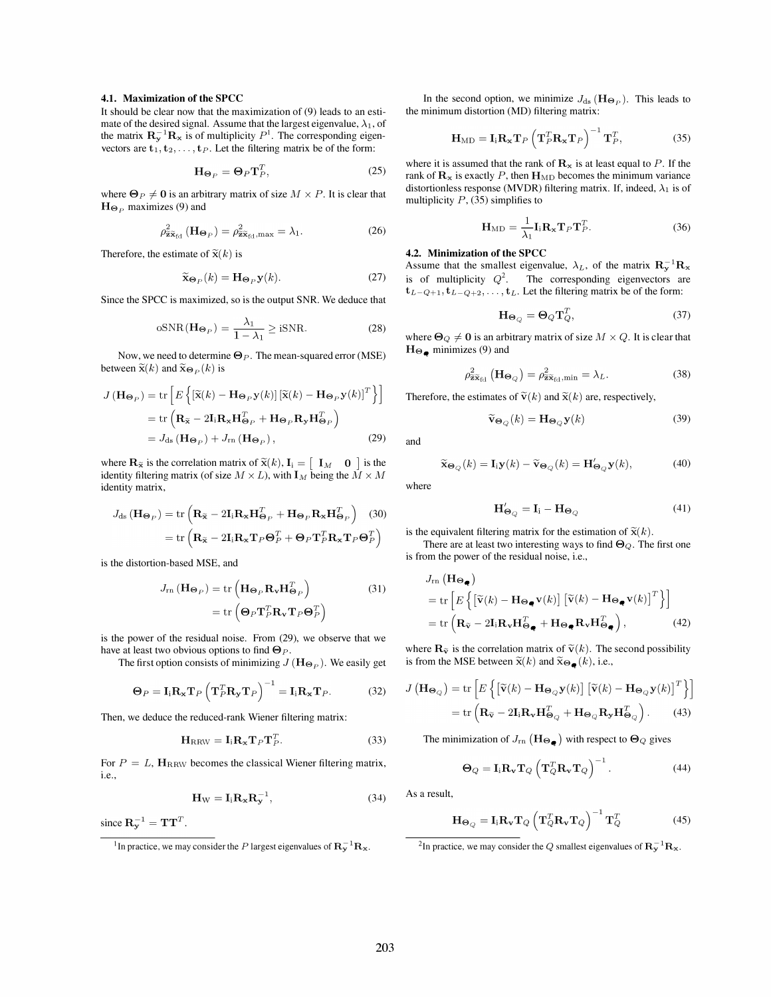#### 4.1. Maximization of the SPCC

It should be clear now that the maximization of (9) leads to an estimate of the desired signal. Assume that the largest eigenvalue,  $\lambda_1$ , of the matrix  $\mathbf{R}_{\mathbf{y}}^{-1} \mathbf{R}_{\mathbf{x}}$  is of multiplicity  $P^1$ . The corresponding eigenvectors are  $t_1, t_2, \ldots, t_p$ . Let the filtering matrix be of the form:

$$
\mathbf{H}_{\Theta_P} = \mathbf{\Theta}_P \mathbf{T}_P^T, \tag{25}
$$

where  $\Theta_P \neq 0$  is an arbitrary matrix of size  $M \times P$ . It is clear that  $H_{\Theta_P}$  maximizes (9) and

$$
\rho_{\widetilde{\mathbf{z}}\widetilde{\mathbf{x}}_{\text{fd}}}^2(\mathbf{H}_{\Theta_P}) = \rho_{\widetilde{\mathbf{z}}\widetilde{\mathbf{x}}_{\text{fd}},\max}^2 = \lambda_1.
$$
 (26)

Therefore, the estimate of  $\tilde{\mathbf{x}}(k)$  is

$$
\widetilde{\mathbf{x}}_{\mathbf{\Theta}_P}(k) = \mathbf{H}_{\mathbf{\Theta}_P} \mathbf{y}(k). \tag{27}
$$

Since the SPCC is maximized, so is the output SNR. We deduce that

$$
oSNR(\mathbf{H}_{\Theta_P}) = \frac{\lambda_1}{1 - \lambda_1} \ge iSNR.
$$
 (28)

Now, we need to determine  $\Theta_P$ . The mean-squared error (MSE) between  $\tilde{\mathbf{x}}(k)$  and  $\tilde{\mathbf{x}}_{\Theta_P}(k)$  is

$$
J(\mathbf{H}_{\mathbf{\Theta}_P}) = \text{tr}\left[E\left\{ \left[\widetilde{\mathbf{x}}(k) - \mathbf{H}_{\mathbf{\Theta}_P}\mathbf{y}(k)\right] \left[\widetilde{\mathbf{x}}(k) - \mathbf{H}_{\mathbf{\Theta}_P}\mathbf{y}(k)\right]^T \right\} \right]
$$

$$
= \text{tr}\left(\mathbf{R}_{\widetilde{\mathbf{x}}} - 2\mathbf{I}_1\mathbf{R}_{\mathbf{x}}\mathbf{H}_{\mathbf{\Theta}_P}^T + \mathbf{H}_{\mathbf{\Theta}_P}\mathbf{R}_{\mathbf{y}}\mathbf{H}_{\mathbf{\Theta}_P}^T \right)
$$

$$
= J_{\text{ds}}\left(\mathbf{H}_{\mathbf{\Theta}_P}\right) + J_{\text{rn}}\left(\mathbf{H}_{\mathbf{\Theta}_P}\right), \tag{29}
$$

where  $\mathbf{R}_{\tilde{\mathbf{x}}}$  is the correlation matrix of  $\tilde{\mathbf{x}}(k)$ ,  $\mathbf{I}_i = \begin{bmatrix} \mathbf{I}_M & \mathbf{0} \end{bmatrix}$  is the identity filtering matrix (of size  $M \times L$ ), with  $\mathbf{I}_M$  being the  $\dot{M} \times M$ identity matrix,

$$
J_{\rm ds} \left( \mathbf{H}_{\mathbf{\Theta}_P} \right) = \text{tr} \left( \mathbf{R}_{\widetilde{\mathbf{x}}} - 2 \mathbf{I}_i \mathbf{R}_{\mathbf{x}} \mathbf{H}_{\mathbf{\Theta}_P}^T + \mathbf{H}_{\mathbf{\Theta}_P} \mathbf{R}_{\mathbf{x}} \mathbf{H}_{\mathbf{\Theta}_P}^T \right) \tag{30}
$$

$$
= \text{tr} \left( \mathbf{R}_{\widetilde{\mathbf{x}}} - 2 \mathbf{I}_i \mathbf{R}_{\mathbf{x}} \mathbf{T}_P \mathbf{\Theta}_P^T + \mathbf{\Theta}_P \mathbf{T}_P^T \mathbf{R}_{\mathbf{x}} \mathbf{T}_P \mathbf{\Theta}_P^T \right)
$$

is the distortion-based MSE, and

$$
J_{\rm rn}(\mathbf{H}_{\mathbf{\Theta}_P}) = \text{tr}\left(\mathbf{H}_{\mathbf{\Theta}_P}\mathbf{R}_{\mathbf{v}}\mathbf{H}_{\mathbf{\Theta}_P}^T\right)
$$
(31)  
= tr\left(\mathbf{\Theta}\_P\mathbf{T}\_P^T\mathbf{R}\_{\mathbf{v}}\mathbf{T}\_P\mathbf{\Theta}\_P^T\right)

is the power of the residual noise. From (29), we observe that we have at least two obvious options to find  $\Theta_P$ .

The first option consists of minimizing  $J(\mathbf{H}_{\Theta_P})$ . We easily get

$$
\Theta_P = \mathbf{I}_i \mathbf{R}_{\mathbf{x}} \mathbf{T}_P \left( \mathbf{T}_P^T \mathbf{R}_{\mathbf{y}} \mathbf{T}_P \right)^{-1} = \mathbf{I}_i \mathbf{R}_{\mathbf{x}} \mathbf{T}_P.
$$
 (32)

Then, we deduce the reduced-rank Wiener filtering matrix:

$$
\mathbf{H}_{RRW} = \mathbf{I}_i \mathbf{R}_{\mathbf{x}} \mathbf{T}_P \mathbf{T}_P^T.
$$
 (33)

For  $P = L$ , HRRW becomes the classical Wiener filtering matrix, i.e.,

$$
\mathbf{H}_{\mathbf{W}} = \mathbf{I}_i \mathbf{R}_{\mathbf{x}} \mathbf{R}_{\mathbf{y}}^{-1},\tag{34}
$$

since  $\mathbf{R}_{\mathbf{y}}^{-1} = \mathbf{T}\mathbf{T}^T$ .

In the second option, we minimize  $J_{ds}(\mathbf{H}_{\Theta_p})$ . This leads to the minimum distortion (MD) filtering matrix:

$$
\mathbf{H}_{\mathrm{MD}} = \mathbf{I}_{\mathrm{i}} \mathbf{R}_{\mathbf{x}} \mathbf{T}_{P} \left( \mathbf{T}_{P}^{T} \mathbf{R}_{\mathbf{x}} \mathbf{T}_{P} \right)^{-1} \mathbf{T}_{P}^{T}, \tag{35}
$$

where it is assumed that the rank of  $\mathbf{R}_{\mathbf{x}}$  is at least equal to P. If the rank of  $\mathbf{R}_{\mathbf{x}}$  is exactly P, then  $\mathbf{H}_{\text{MD}}$  becomes the minimum variance distortionless response (MVDR) filtering matrix. If, indeed,  $\lambda_1$  is of multiplicity  $P$ , (35) simplifies to

$$
\mathbf{H}_{\mathrm{MD}} = \frac{1}{\lambda_1} \mathbf{I}_i \mathbf{R}_{\mathbf{x}} \mathbf{T}_P \mathbf{T}_P^T.
$$
 (36)

#### 4.2. Minimization of the SPCC

Assume that the smallest eigenvalue,  $\lambda_L$ , of the matrix  $\mathbf{R}_{y}^{-1}\mathbf{R}_{x}$ is of multiplicity  $Q^2$ . The corresponding eigenvectors are  $t_{L-Q+1}, t_{L-Q+2}, \ldots, t_{L}$ . Let the filtering matrix be of the form:

$$
\mathbf{H}_{\Theta_O} = \mathbf{\Theta}_Q \mathbf{T}_Q^T,\tag{37}
$$

where  $\Theta_Q \neq 0$  is an arbitrary matrix of size  $M \times Q$ . It is clear that  $H_{\Theta_{\blacksquare}}$  minimizes (9) and

$$
\rho_{\widetilde{\mathbf{z}}\widetilde{\mathbf{x}}_{\text{fd}}}^2\left(\mathbf{H}_{\boldsymbol{\Theta}_Q}\right) = \rho_{\widetilde{\mathbf{z}}\widetilde{\mathbf{x}}_{\text{fd}},\min}^2 = \lambda_L.
$$
 (38)

Therefore, the estimates of  $\tilde{\mathbf{v}}(k)$  and  $\tilde{\mathbf{x}}(k)$  are, respectively,

$$
\widetilde{\mathbf{v}}_{\mathbf{\Theta}_Q}(k) = \mathbf{H}_{\mathbf{\Theta}_Q} \mathbf{y}(k) \tag{39}
$$

and

$$
\widetilde{\mathbf{x}}_{\mathbf{\Theta}_Q}(k) = \mathbf{I}_i \mathbf{y}(k) - \widetilde{\mathbf{v}}_{\mathbf{\Theta}_Q}(k) = \mathbf{H}'_{\mathbf{\Theta}_Q} \mathbf{y}(k),\tag{40}
$$

where

$$
\mathbf{H}'_{\mathbf{\Theta}_{\mathcal{O}}} = \mathbf{I}_i - \mathbf{H}_{\mathbf{\Theta}_{\mathcal{O}}} \tag{41}
$$

is the equivalent filtering matrix for the estimation of  $\tilde{\mathbf{x}}(k)$ .

There are at least two interesting ways to find  $\Theta_Q$ . The first one is from the power of the residual noise, i.e.,

$$
J_{\rm rn} (\mathbf{H}_{\Theta_{\bullet}})
$$
  
= tr  $\left[ E \left\{ \left[ \tilde{\mathbf{v}}(k) - \mathbf{H}_{\Theta_{\bullet}} \mathbf{v}(k) \right] \left[ \tilde{\mathbf{v}}(k) - \mathbf{H}_{\Theta_{\bullet}} \mathbf{v}(k) \right]^T \right\} \right]$   
= tr  $\left( \mathbf{R}_{\tilde{\mathbf{v}}} - 2\mathbf{I}_1 \mathbf{R}_{\mathbf{v}} \mathbf{H}_{\Theta_{\bullet}}^T + \mathbf{H}_{\Theta_{\bullet}} \mathbf{R}_{\mathbf{v}} \mathbf{H}_{\Theta_{\bullet}}^T \right),$  (42)

where  $\mathbf{R}_{\tilde{\mathbf{v}}}$  is the correlation matrix of  $\tilde{\mathbf{v}}(k)$ . The second possibility is from the MSE between  $\tilde{\mathbf{x}}(k)$  and  $\tilde{\mathbf{x}}_{\Theta_{\mathbf{e}}}(k)$ , i.e.,

$$
J\left(\mathbf{H}_{\mathbf{\Theta}_{Q}}\right) = \text{tr}\left[E\left\{ \left[\widetilde{\mathbf{v}}(k) - \mathbf{H}_{\mathbf{\Theta}_{Q}}\mathbf{y}(k)\right] \left[\widetilde{\mathbf{v}}(k) - \mathbf{H}_{\mathbf{\Theta}_{Q}}\mathbf{y}(k)\right]^{T}\right\} \right]
$$

$$
= \text{tr}\left(\mathbf{R}_{\widetilde{\mathbf{v}}} - 2\mathbf{I}_{1}\mathbf{R}_{\mathbf{v}}\mathbf{H}_{\mathbf{\Theta}_{Q}}^{T} + \mathbf{H}_{\mathbf{\Theta}_{Q}}\mathbf{R}_{\mathbf{y}}\mathbf{H}_{\mathbf{\Theta}_{Q}}^{T}\right). \tag{43}
$$

The minimization of  $J_{\rm rn}(\mathbf{H}_{\boldsymbol{\Theta}_{\boldsymbol{\phi}}})$  with respect to  $\boldsymbol{\Theta}_{Q}$  gives

$$
\Theta_Q = \mathbf{I}_i \mathbf{R}_\mathbf{v} \mathbf{T}_Q \left( \mathbf{T}_Q^T \mathbf{R}_\mathbf{v} \mathbf{T}_Q \right)^{-1} . \tag{44}
$$

As a result,

$$
\mathbf{H}_{\Theta_Q} = \mathbf{I}_i \mathbf{R}_\mathbf{v} \mathbf{T}_Q \left( \mathbf{T}_Q^T \mathbf{R}_\mathbf{v} \mathbf{T}_Q \right)^{-1} \mathbf{T}_Q^T
$$
 (45)

<sup>&</sup>lt;sup>1</sup>In practice, we may consider the P largest eigenvalues of  $\mathbf{R}_{\mathbf{y}}^{-1} \mathbf{R}_{\mathbf{x}}$ .

<sup>&</sup>lt;sup>2</sup>In practice, we may consider the Q smallest eigenvalues of  $\mathbf{R}_{y}^{-1}\mathbf{R}_{x}$ .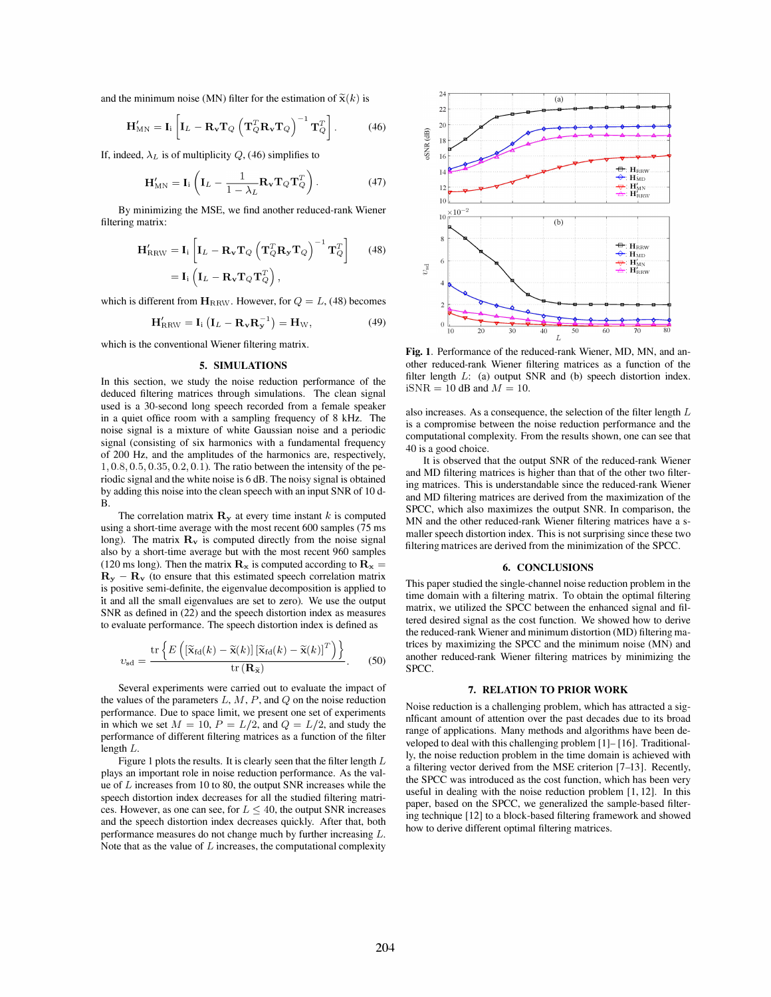and the minimum noise (MN) filter for the estimation of  $\tilde{\mathbf{x}}(k)$  is

$$
\mathbf{H}_{\text{MN}}^{\prime} = \mathbf{I}_{\text{i}} \left[ \mathbf{I}_{L} - \mathbf{R}_{\mathbf{v}} \mathbf{T}_{Q} \left( \mathbf{T}_{Q}^{T} \mathbf{R}_{\mathbf{v}} \mathbf{T}_{Q} \right)^{-1} \mathbf{T}_{Q}^{T} \right]. \tag{46}
$$

If, indeed,  $\lambda_L$  is of multiplicity  $Q$ , (46) simplifies to

$$
\mathbf{H}_{\text{MN}}' = \mathbf{I}_i \left( \mathbf{I}_L - \frac{1}{1 - \lambda_L} \mathbf{R}_\mathbf{v} \mathbf{T}_Q \mathbf{T}_Q^T \right). \tag{47}
$$

By minimizing the MSE, we find another reduced-rank Wiener filtering matrix:

$$
\mathbf{H}'_{RRW} = \mathbf{I}_i \left[ \mathbf{I}_L - \mathbf{R}_{\mathbf{v}} \mathbf{T}_Q \left( \mathbf{T}_Q^T \mathbf{R}_{\mathbf{y}} \mathbf{T}_Q \right)^{-1} \mathbf{T}_Q^T \right] \quad (48)
$$

$$
= \mathbf{I}_i \left( \mathbf{I}_L - \mathbf{R}_{\mathbf{v}} \mathbf{T}_Q \mathbf{T}_Q^T \right),
$$

which is different from  $H_{RRW}$ . However, for  $Q = L$ , (48) becomes

$$
\mathbf{H}'_{RRW} = \mathbf{I}_i \left( \mathbf{I}_L - \mathbf{R}_{\mathbf{v}} \mathbf{R}_{\mathbf{y}}^{-1} \right) = \mathbf{H}_W, \tag{49}
$$

which is the conventional Wiener filtering matrix.

#### 5. SIMULATIONS

In this section, we study the noise reduction performance of the deduced filtering matrices through simulations. The clean signal used is a 30-second long speech recorded from a female speaker in a quiet office room with a sampling frequency of S kHz. The noise signal is a mixture of white Gaussian noise and a periodic signal (consisting of six harmonics with a fundamental frequency of 200 Hz, and the amplitudes of the harmonics are, respectively, 1,0.8,0.5,0.35,0.2,0.1). The ratio between the intensity of the periodic signal and the white noise is 6 dB. The noisy signal is obtained by adding this noise into the clean speech with an input SNR of 10 d-B.

The correlation matrix  $\mathbf{R}_{v}$  at every time instant k is computed using a short-time average with the most recent 600 samples (75 ms long). The matrix  $\mathbf{R}_{\mathbf{v}}$  is computed directly from the noise signal also by a short-time average but with the most recent 960 samples (120 ms long). Then the matrix  $\mathbf{R}_{\mathbf{x}}$  is computed according to  $\mathbf{R}_{\mathbf{x}} =$  $R_y - R_y$  (to ensure that this estimated speech correlation matrix is positive semi-definite, the eigenvalue decomposition is applied to it and all the small eigenvalues are set to zero). We use the output SNR as defined in (22) and the speech distortion index as measures to evaluate performance. The speech distortion index is defined as

$$
v_{\rm sd} = \frac{\rm tr\left\{E\left(\left[\widetilde{\mathbf{x}}_{\rm fd}(k) - \widetilde{\mathbf{x}}(k)\right]\left[\widetilde{\mathbf{x}}_{\rm fd}(k) - \widetilde{\mathbf{x}}(k)\right]^T\right)\right\}}{\rm tr\left(\mathbf{R}_{\widetilde{\mathbf{x}}}\right)}.
$$
 (50)

Several experiments were carried out to evaluate the impact of the values of the parameters  $L, M, P$ , and  $Q$  on the noise reduction performance. Due to space limit, we present one set of experiments in which we set  $M = 10$ ,  $P = L/2$ , and  $Q = L/2$ , and study the performance of different filtering matrices as a function of the filter length L.

Figure 1 plots the results. It is clearly seen that the filter length  $L$ plays an important role in noise reduction performance. As the value of L increases from 10 to SO, the output SNR increases while the speech distortion index decreases for all the studied filtering matrices. However, as one can see, for  $L \leq 40$ , the output SNR increases and the speech distortion index decreases quickly. After that, both performance measures do not change much by further increasing L. Note that as the value of  $L$  increases, the computational complexity



Fig. 1. Performance of the reduced-rank Wiener, MD, MN, and another reduced-rank Wiener filtering matrices as a function of the filter length  $L$ : (a) output SNR and (b) speech distortion index.  $iSNR = 10$  dB and  $M = 10$ .

also increases. As a consequence, the selection of the filter length  $L$ is a compromise between the noise reduction performance and the computational complexity. From the results shown, one can see that 40 is a good choice.

It is observed that the output SNR of the reduced-rank Wiener and MD filtering matrices is higher than that of the other two filtering matrices. This is understandable since the reduced-rank Wiener and MD filtering matrices are derived from the maximization of the SPCC, which also maximizes the output SNR. In comparison, the MN and the other reduced-rank Wiener filtering matrices have a smaller speech distortion index. This is not surprising since these two filtering matrices are derived from the minimization of the SPCc.

#### 6. CONCLUSIONS

This paper studied the single-channel noise reduction problem in the time domain with a filtering matrix. To obtain the optimal filtering matrix, we utilized the SPCC between the enhanced signal and filtered desired signal as the cost function. We showed how to derive the reduced-rank Wiener and minimum distortion (MD) filtering matrices by maximizing the SPCC and the minimum noise (MN) and another reduced-rank Wiener filtering matrices by minimizing the SPCC.

#### 7. RELATION TO PRIOR WORK

Noise reduction is a challenging problem, which has attracted a significant amount of attention over the past decades due to its broad range of applications. Many methods and algorithms have been developed to deal with this challenging problem [IJ- [ 16]. Traditionally, the noise reduction problem in the time domain is achieved with a filtering vector derived from the MSE criterion [7-13]. Recently, the SPCC was introduced as the cost function, which has been very useful in dealing with the noise reduction problem  $[1, 12]$ . In this paper, based on the SPCC, we generalized the sample-based filtering technique [12] to a block-based filtering framework and showed how to derive different optimal filtering matrices.